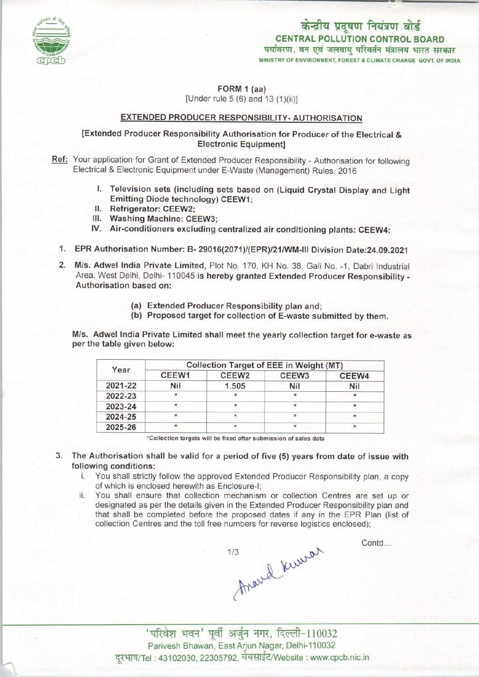

केन्द्रीय प्रदूषण नियंत्रण बोर्ड CENTRAL POLLUTION CONTROL BOARDपर्यावरण, वन एवं जलवायु परिवर्तन मंत्रालय भारत सरकार<br>MINISTRY OF ENVIRONMENT, FOREST & CLIMATE CHANGE GOVT. OF INDIA

FORM 1 (aa)

[Under rule 5 (6) and 13 (1)(ii)]

## EXTENDED PRODUCER RESPONSIBILITY- AUTHORISATION

### [Extended Producer Responsibility Authorisation for Producer of the Electrical & Electronic Equipment]

Ref: Your application for Grant of Extended Producer Responsibility - Authorisation for following Electrical & Electronic Equipment under E-Waste {Management) Rules, 2016

- I. Television sets (including sets based on (Liquid Crystal Display and Light Emitting Diode technology) CEEW1;
- II. Refrigerator: CEEW2;
- III. Washing Machine: CEEW3;
- IV. Air-conditioners excluding centralized air conditioning plants: CEEW4:
- 1.EPR Authorisation Number: B- 29016(2071)/(EPR>/21/WM-lll Division Date:24.09.2021
- 2.M/s. Adwel India Private Limited, Plot No. 170, KH No. 38, Gali No. -1, Dabri Industrial Area, West Delhi, Delhi-110045 is hereby granted Extended Producer Responsibility - Authorisation based on:
	- (a)Extended Producer Responsibility plan and;
	- (b) Proposed target for collection of E-waste submitted by them.

M/s. Adwel India Private Limited shall meet the yearly collection target for e-waste as per the table given below:

| Year    | <b>Collection Target of EEE in Weight (MT)</b> |                   |                   |         |
|---------|------------------------------------------------|-------------------|-------------------|---------|
|         | CEEW1                                          | CEEW <sub>2</sub> | CEEW <sub>3</sub> | CEEW4   |
| 2021-22 | <b>Nil</b>                                     | 1.505             | Nil               | Nil     |
| 2022-23 | $\star$                                        | $\star$           |                   | $\star$ |
| 2023-24 |                                                | ×                 | *                 | $\star$ |
| 2024-25 | $\star$                                        | $\star$           | $\star$           | $\star$ |
| 2025-26 | $\star$                                        | $\star$           | $\star$           | ÷       |

•Collection targets will be fixed aftersubmission of sales data

- 3. The Authorisation shall be valid for a period of five (5) years from date of issue with following conditions:
	- i. You shall strictly follow the approved Extended Producer Responsibility plan, a copy of which is enclosed herewith as Enclosure-I;
	- ii. You shall ensure that collection mechanism or collection Centres are set up or designated as per the details given in the Extended Producer Responsibility plan and that shall be completed before the proposed dates if any in the EPR Plan (list of collection Centres and the toll free numbers for reverse logistics enclosed);

Arand Kurrar  $1/3$ 

Contd...

' परिवेश भवन' पूर्वी अर्जुन नगर, दिल्ली-110032 Parivesh Bhawan, East Arjun Nagar, Delhi-110032 दूरभाष/Tel: 43102030, 22305792, वेबसाईट/Website : www.cpcb.nic.in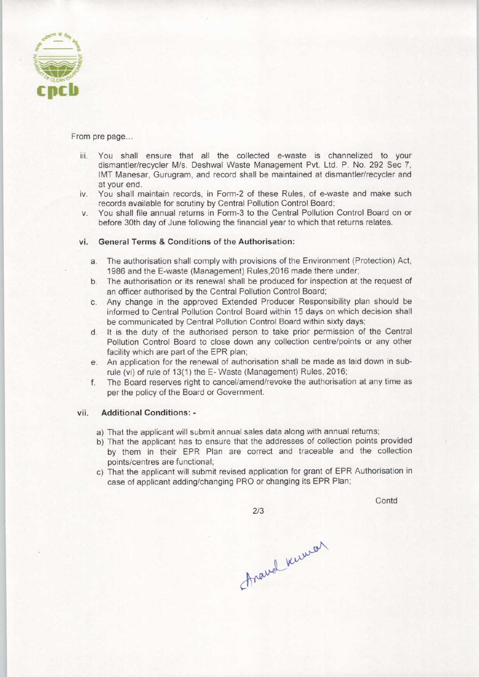

From pre page...

- iii. You shall ensure that all the collected e-waste is channelized to your dismantler/recycler M/s. Deshwal Waste Management Pvt. Ltd. P. No. 292 Sec 7, 1MT Manesar, Gurugram, and record shall be maintained at dismantler/recycler and at your end.
- iv. You shall maintain records, in Form-2 of these Rules, of e-waste and make such records available for scrutiny by Central Pollution Control Board;
- v. You shall file annual returns in Form-3 to the Central Pollution Control Board on or before 30th day of June following the financial year to which that returns relates.

#### vi. General Terms & Conditions of the Authorisation:

- a.The authorisation shall comply with provisions of the Environment (Protection) Act, 1986 and the E-waste (Management) Rules,2016 made there under;
- b.The authorisation or its renewal shall be produced for inspection at the request of an officer authorised by the Central Pollution Control Board;
- c.Any change in the approved Extended Producer Responsibility plan should be informed to Central Pollution Control Board within 15 days on which decision shall be communicated by Central Pollution Control Board within sixty days;
- d. It is the duty of the authorised person to take prior permission of the Central Pollution Control Board to close down any collection centre/points or any other facility which are part of the EPR plan;
- e.An application for the renewal of authorisation shall be made aslaid down in subrule (vi) of rule of 13(1) the E- Waste (Management) Rules, 2016;
- f.The Board reserves right to cancel/amend/revoke the authorisation at any time as per the policy of the Board or Government.

#### vii. Additional Conditions: -

- a) That the applicant will submit annual sales data along with annual returns;
- b) That the applicant has to ensure that the addresses of collection points provided by them in their EPR Plan are correct and traceable and the collection points/centres are functional;
- c) That the applicant will submit revised application for grant of EPR Authorisation in case of applicant adding/changing PRO or changing its EPR Plan;

 $2/3$ 

**Contd** 

Anamal Kuman